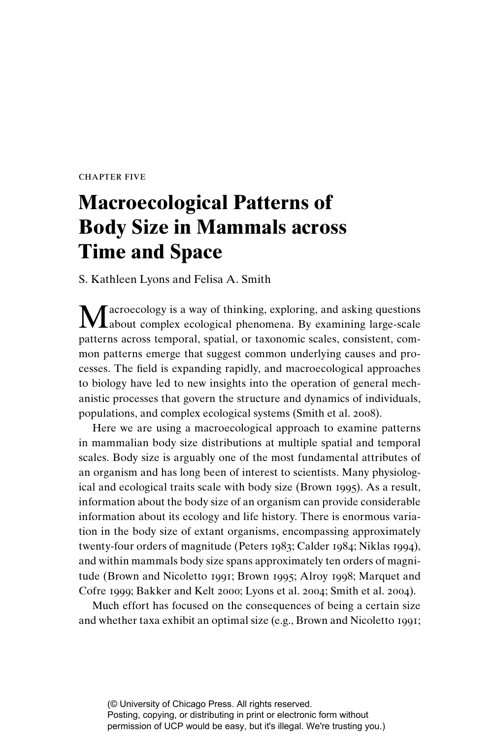**CHAPTER FIVE** 

# **Macroecological Patterns of Body Size in Mammals across Time and Space**

S. Kathleen Lyons and Felisa A. Smith

Macroecology is a way of thinking, exploring, and asking questions about complex ecological phenomena. By examining large-scale patterns across temporal, spatial, or taxonomic scales, consistent, common patterns emerge that suggest common underlying causes and processes. The field is expanding rapidly, and macroecological approaches to biology have led to new insights into the operation of general mechanistic processes that govern the structure and dynamics of individuals, populations, and complex ecological systems (Smith et al. 2008).

Here we are using a macroecological approach to examine patterns in mammalian body size distributions at multiple spatial and temporal scales. Body size is arguably one of the most fundamental attributes of an organism and has long been of interest to scientists. Many physiological and ecological traits scale with body size (Brown 1995). As a result, information about the body size of an organism can provide considerable information about its ecology and life history. There is enormous variation in the body size of extant organisms, encompassing approximately twenty-four orders of magnitude (Peters 1983; Calder 1984; Niklas 1994), and within mammals body size spans approximately ten orders of magnitude (Brown and Nicoletto 1991; Brown 1995; Alroy 1998; Marquet and Cofre 1999; Bakker and Kelt 2000; Lyons et al. 2004; Smith et al. 2004).

Much effort has focused on the consequences of being a certain size and whether taxa exhibit an optimal size (e.g., Brown and Nicoletto 1991;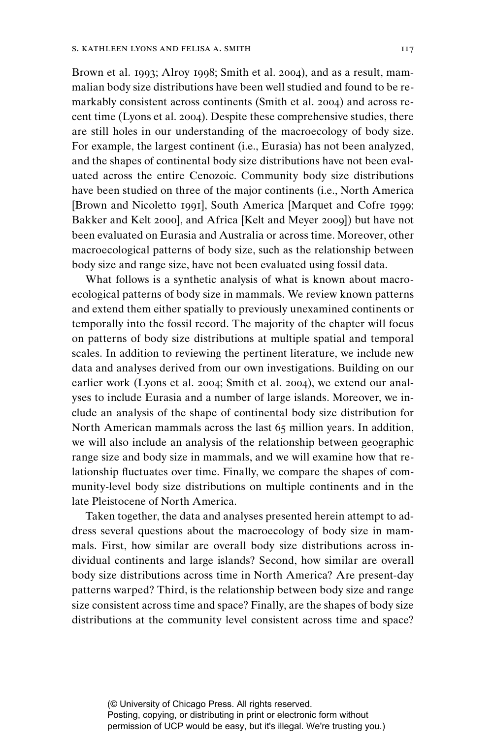Brown et al. 1993; Alroy 1998; Smith et al. 2004), and as a result, mammalian body size distributions have been well studied and found to be remarkably consistent across continents (Smith et al. 2004) and across recent time (Lyons et al. 2004). Despite these comprehensive studies, there are still holes in our understanding of the macroecology of body size. For example, the largest continent (i.e., Eurasia) has not been analyzed, and the shapes of continental body size distributions have not been evaluated across the entire Cenozoic. Community body size distributions have been studied on three of the major continents (i.e., North America [Brown and Nicoletto 1991], South America [Marquet and Cofre 1999; Bakker and Kelt 2000], and Africa [Kelt and Meyer 2009]) but have not been evaluated on Eurasia and Australia or across time. Moreover, other macroecological patterns of body size, such as the relationship between body size and range size, have not been evaluated using fossil data.

What follows is a synthetic analysis of what is known about macroecological patterns of body size in mammals. We review known patterns and extend them either spatially to previously unexamined continents or temporally into the fossil record. The majority of the chapter will focus on patterns of body size distributions at multiple spatial and temporal scales. In addition to reviewing the pertinent literature, we include new data and analyses derived from our own investigations. Building on our earlier work (Lyons et al. 2004; Smith et al. 2004), we extend our analyses to include Eurasia and a number of large islands. Moreover, we include an analysis of the shape of continental body size distribution for North American mammals across the last 65 million years. In addition, we will also include an analysis of the relationship between geographic range size and body size in mammals, and we will examine how that relationship fluctuates over time. Finally, we compare the shapes of community-level body size distributions on multiple continents and in the late Pleistocene of North America.

Taken together, the data and analyses presented herein attempt to address several questions about the macroecology of body size in mammals. First, how similar are overall body size distributions across individual continents and large islands? Second, how similar are overall body size distributions across time in North America? Are present-day patterns warped? Third, is the relationship between body size and range size consistent across time and space? Finally, are the shapes of body size distributions at the community level consistent across time and space?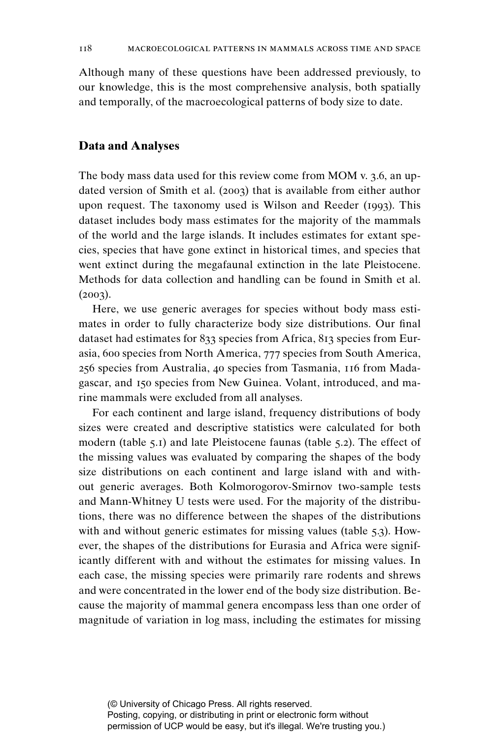Although many of these questions have been addressed previously, to our knowledge, this is the most comprehensive analysis, both spatially and temporally, of the macroecological patterns of body size to date.

# **Data and Analyses**

The body mass data used for this review come from MOM v. 3.6, an updated version of Smith et al. (2003) that is available from either author upon request. The taxonomy used is Wilson and Reeder (1993). This dataset includes body mass estimates for the majority of the mammals of the world and the large islands. It includes estimates for extant species, species that have gone extinct in historical times, and species that went extinct during the megafaunal extinction in the late Pleistocene. Methods for data collection and handling can be found in Smith et al.  $(2003).$ 

Here, we use generic averages for species without body mass estimates in order to fully characterize body size distributions. Our final dataset had estimates for 833 species from Africa, 813 species from Eurasia, 600 species from North America, 777 species from South America, 256 species from Australia, 40 species from Tasmania, 116 from Madagascar, and 150 species from New Guinea. Volant, introduced, and marine mammals were excluded from all analyses.

For each continent and large island, frequency distributions of body sizes were created and descriptive statistics were calculated for both modern (table 5.1) and late Pleistocene faunas (table 5.2). The effect of the missing values was evaluated by comparing the shapes of the body size distributions on each continent and large island with and without generic averages. Both Kolmorogorov-Smirnov two-sample tests and Mann-Whitney U tests were used. For the majority of the distributions, there was no difference between the shapes of the distributions with and without generic estimates for missing values (table 5.3). However, the shapes of the distributions for Eurasia and Africa were significantly different with and without the estimates for missing values. In each case, the missing species were primarily rare rodents and shrews and were concentrated in the lower end of the body size distribution. Because the majority of mammal genera encompass less than one order of magnitude of variation in log mass, including the estimates for missing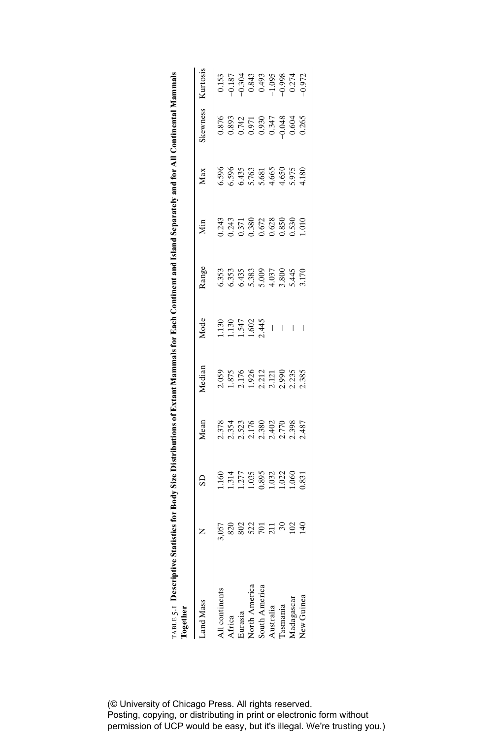| $_{\rm IAEEL}$ 5.1 Descriptive Statistics for Body Size Distributions of Extant Mammals for Each Continent and Island Separately and for All Continental Mammals<br><b>rogether</b> |                  |                                                                           |                                                     |                                            |                                          |                                                                 |                                                                                                                       |                                                                                                         |                                                             |                                                     |
|-------------------------------------------------------------------------------------------------------------------------------------------------------------------------------------|------------------|---------------------------------------------------------------------------|-----------------------------------------------------|--------------------------------------------|------------------------------------------|-----------------------------------------------------------------|-----------------------------------------------------------------------------------------------------------------------|---------------------------------------------------------------------------------------------------------|-------------------------------------------------------------|-----------------------------------------------------|
| and Mass                                                                                                                                                                            | Z                | GS                                                                        | Mean                                                | Median                                     | Mode                                     | Range                                                           | Min                                                                                                                   | Max                                                                                                     | Skewness                                                    | Kurtosis                                            |
| All continents                                                                                                                                                                      | 3,057            | .160                                                                      |                                                     | 0.059                                      | 130                                      |                                                                 |                                                                                                                       |                                                                                                         |                                                             | 0.153                                               |
| Africa                                                                                                                                                                              | 820              | $1.314$<br>$1.277$<br>$1.035$<br>$1.032$<br>$1.022$<br>$1.023$<br>$1.060$ | 2.378<br>2.3523<br>2.402<br>2.487<br>2.487<br>2.487 |                                            |                                          | 6.353<br>6.353 383<br>6.435 383 383 384<br>4.037 4.037<br>5.170 | $\begin{array}{l} 0.243 \\ 0.243 \\ 0.371 \\ 0.380 \\ 0.672 \\ 0.628 \\ 0.630 \\ 0.630 \\ 0.530 \\ 1.010 \end{array}$ | $6.596$<br>$6.596$<br>$6.435$<br>$6.435$<br>$6.65$<br>$6.65$<br>$6.65$<br>$6.975$<br>$6.975$<br>$6.975$ | 0.876<br>0.893<br>0.930<br>0.930<br>0.048<br>0.060<br>0.265 | -0.187<br>0.304<br>0.433<br>0.974<br>0.974<br>0.972 |
| Eurasia                                                                                                                                                                             | 802              |                                                                           |                                                     |                                            |                                          |                                                                 |                                                                                                                       |                                                                                                         |                                                             |                                                     |
| North America                                                                                                                                                                       | 522              |                                                                           |                                                     |                                            | $1.130$<br>$1.547$<br>$1.602$<br>$2.445$ |                                                                 |                                                                                                                       |                                                                                                         |                                                             |                                                     |
| South America                                                                                                                                                                       | $\overline{701}$ |                                                                           |                                                     |                                            |                                          |                                                                 |                                                                                                                       |                                                                                                         |                                                             |                                                     |
| Australia                                                                                                                                                                           |                  |                                                                           |                                                     |                                            |                                          |                                                                 |                                                                                                                       |                                                                                                         |                                                             |                                                     |
| <b>Lasmania</b>                                                                                                                                                                     | $\frac{211}{30}$ |                                                                           |                                                     | 1.875<br>2.176<br>2.2121<br>2.385<br>2.385 | I                                        |                                                                 |                                                                                                                       |                                                                                                         |                                                             |                                                     |
|                                                                                                                                                                                     | 102              |                                                                           |                                                     |                                            | $\begin{array}{c} \end{array}$           |                                                                 |                                                                                                                       |                                                                                                         |                                                             |                                                     |
| New Guinea                                                                                                                                                                          | $\overline{40}$  |                                                                           |                                                     |                                            | I                                        |                                                                 |                                                                                                                       |                                                                                                         |                                                             |                                                     |

| ĵ | l<br>i<br>l<br>j |        |
|---|------------------|--------|
|   |                  |        |
|   |                  |        |
|   | I                | į<br>l |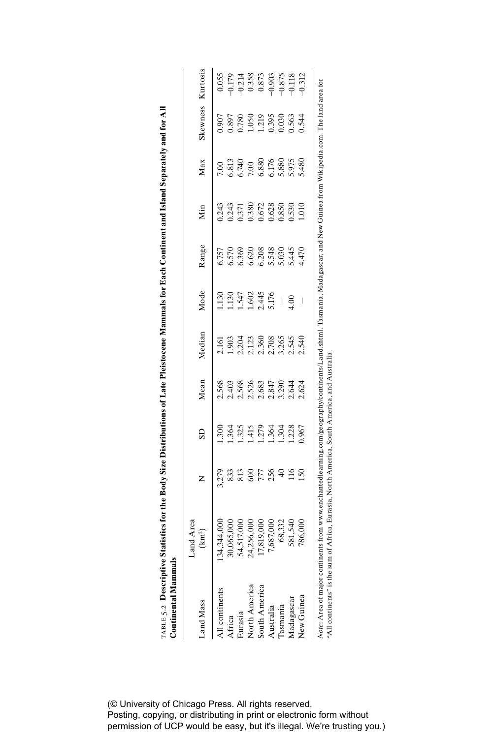| <b>Continental Mammals</b>                                                                                                                                                |                                 |               |                 |                |        |                                |       |       |                |                 |                                                                                                 |
|---------------------------------------------------------------------------------------------------------------------------------------------------------------------------|---------------------------------|---------------|-----------------|----------------|--------|--------------------------------|-------|-------|----------------|-----------------|-------------------------------------------------------------------------------------------------|
| Land Mass                                                                                                                                                                 | Land Area<br>(km <sup>2</sup> ) | Z             | GS              | Mean           | Median | Mode                           | Range | Min   | Max            | <b>Skewness</b> | Kurtosis                                                                                        |
|                                                                                                                                                                           |                                 |               |                 |                |        |                                |       |       |                |                 |                                                                                                 |
| All continents                                                                                                                                                            | 34,344,000                      | 5,279         | 30 <sup>c</sup> | 2.568          |        | 130                            | 5.757 | 0.243 | $\overline{0}$ | 000.            | 0.055                                                                                           |
| Africa                                                                                                                                                                    | 30,065,000                      | 833           | .364            | 2.403          | 0.903  | .130                           | 6.570 | 0.243 | 5.813          | 1.897           | $\begin{array}{c} 0.179 \\ 0.214 \\ 0.358 \\ 0.873 \\ 0.903 \\ -0.903 \\ -0.875 \\ \end{array}$ |
| Eurasia                                                                                                                                                                   | 54,517,000                      | 813           | 1.325           | 2.568          | 2.204  | .547                           | 5.369 | 0.371 | 6.740          | 1.780           |                                                                                                 |
| North America                                                                                                                                                             | 24,256,000                      | 600           | $-1.415$        | 2.526          | 2.123  | .602                           | 5.620 | 0.380 | 7.00           | 0.050           |                                                                                                 |
| South America                                                                                                                                                             | 17,819,000                      | 777           | 1.279           | 2.683<br>2.847 | 2.360  | 2.445                          | 5.208 | 0.672 | 5.880          | .219            |                                                                                                 |
| Australia                                                                                                                                                                 | 7,687,000                       | 256           | 1.364           |                | 2.708  | 5.176                          | 5.548 | 0.628 | 5.176          | 0.395           |                                                                                                 |
| Tasmania                                                                                                                                                                  | 68,332                          | $\frac{1}{4}$ | .304            | 3.290          | 3.265  | $\begin{array}{c} \end{array}$ | 5.030 | 0.850 | 5.880          | 0.030           |                                                                                                 |
| Madagascar                                                                                                                                                                | 581,540                         | 116           | .228            | 2.644          | 2.545  | 00:1                           | 5.445 | 0.530 | 5.975          | 1.563           |                                                                                                 |
| New Guinea                                                                                                                                                                | 786,000                         | <b>SO</b>     | 1.967           | 0.624          | 2.540  |                                | 1.47C | 010   | 5.480          | 1.544           | 0.312                                                                                           |
|                                                                                                                                                                           |                                 |               |                 |                |        |                                |       |       |                |                 |                                                                                                 |
| Note: Area of major continents from www.enchantedlearning.com/geography/continents/Land.shtml. Tasmania, Madagascar, and New Guinea from Wikipedia.com. The land area for |                                 |               |                 |                |        |                                |       |       |                |                 |                                                                                                 |
| "All continents" is the sum of Africa, Eurasia, North America, South America, and Australia                                                                               |                                 |               |                 |                |        |                                |       |       |                |                 |                                                                                                 |
|                                                                                                                                                                           |                                 |               |                 |                |        |                                |       |       |                |                 |                                                                                                 |
|                                                                                                                                                                           |                                 |               |                 |                |        |                                |       |       |                |                 |                                                                                                 |
|                                                                                                                                                                           |                                 |               |                 |                |        |                                |       |       |                |                 |                                                                                                 |

|   | Ï<br>ĺ                |   |
|---|-----------------------|---|
|   | ı<br>l                |   |
| I |                       |   |
|   |                       |   |
| I |                       |   |
|   |                       |   |
|   | ľ                     |   |
|   |                       |   |
|   |                       |   |
|   |                       |   |
|   | .<br>;<br>;<br>ľ<br>l |   |
|   | ٫<br>j<br>j           | j |
|   |                       |   |

 $\overline{a}$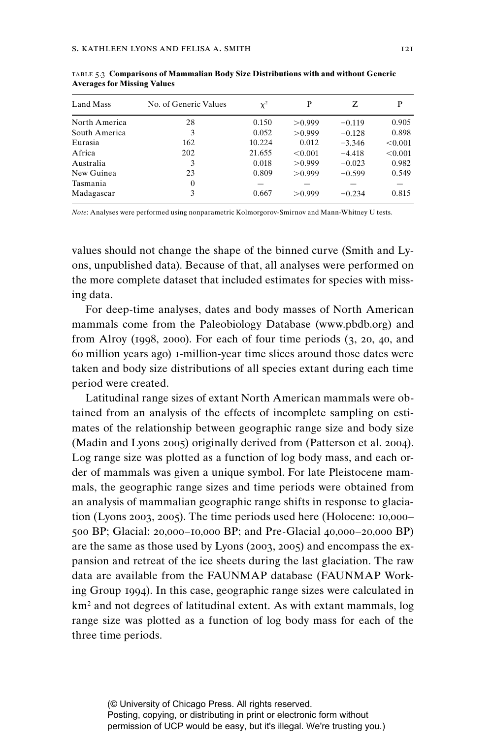| Land Mass     | No. of Generic Values | $x^2$  | P       | Z        | P       |
|---------------|-----------------------|--------|---------|----------|---------|
| North America | 28                    | 0.150  | > 0.999 | $-0.119$ | 0.905   |
| South America | 3                     | 0.052  | > 0.999 | $-0.128$ | 0.898   |
| Eurasia       | 162                   | 10.224 | 0.012   | $-3.346$ | < 0.001 |
| Africa        | 202                   | 21.655 | < 0.001 | $-4.418$ | < 0.001 |
| Australia     | 3                     | 0.018  | >0.999  | $-0.023$ | 0.982   |
| New Guinea    | 23                    | 0.809  | > 0.999 | $-0.599$ | 0.549   |
| Tasmania      | $\theta$              |        |         |          |         |
| Madagascar    | 3                     | 0.667  | > 0.999 | $-0.234$ | 0.815   |

table 5.3 **Comparisons of Mammalian Body Size Distributions with and without Generic Averages for Missing Values**

*Note*: Analyses were performed using nonparametric Kolmorgorov-Smirnov and Mann-Whitney U tests.

values should not change the shape of the binned curve (Smith and Lyons, unpublished data). Because of that, all analyses were performed on the more complete dataset that included estimates for species with missing data.

For deep-time analyses, dates and body masses of North American mammals come from the Paleobiology Database (www.pbdb.org) and from Alroy (1998, 2000). For each of four time periods  $(3, 20, 40, 40)$ 60 million years ago) 1-million-year time slices around those dates were taken and body size distributions of all species extant during each time period were created.

Latitudinal range sizes of extant North American mammals were obtained from an analysis of the effects of incomplete sampling on estimates of the relationship between geographic range size and body size (Madin and Lyons 2005) originally derived from (Patterson et al. 2004). Log range size was plotted as a function of log body mass, and each order of mammals was given a unique symbol. For late Pleistocene mammals, the geographic range sizes and time periods were obtained from an analysis of mammalian geographic range shifts in response to glaciation (Lyons 2003, 2005). The time periods used here (Holocene: 10,000– 500 BP; Glacial: 20,000–10,000 BP; and Pre-Glacial 40,000–20,000 BP) are the same as those used by Lyons (2003, 2005) and encompass the expansion and retreat of the ice sheets during the last glaciation. The raw data are available from the FAUNMAP database (FAUNMAP Working Group 1994). In this case, geographic range sizes were calculated in km2 and not degrees of latitudinal extent. As with extant mammals, log range size was plotted as a function of log body mass for each of the three time periods.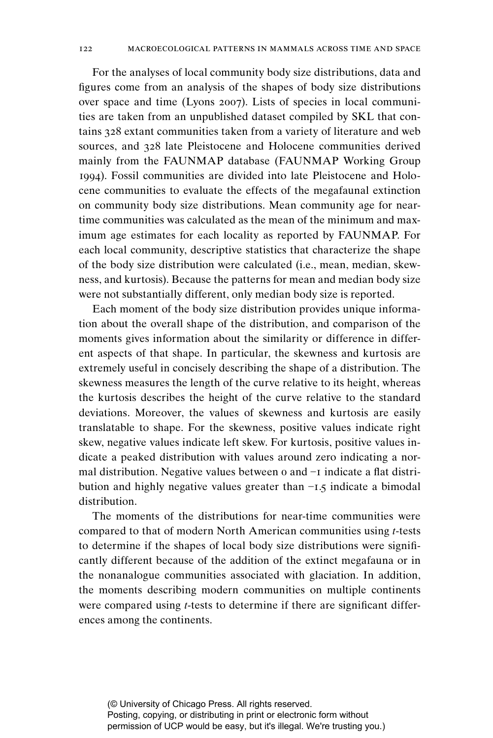For the analyses of local community body size distributions, data and figures come from an analysis of the shapes of body size distributions over space and time (Lyons 2007). Lists of species in local communities are taken from an unpublished dataset compiled by SKL that contains 328 extant communities taken from a variety of literature and web sources, and 328 late Pleistocene and Holocene communities derived mainly from the FAUNMAP database (FAUNMAP Working Group 1994). Fossil communities are divided into late Pleistocene and Holocene communities to evaluate the effects of the megafaunal extinction on community body size distributions. Mean community age for neartime communities was calculated as the mean of the minimum and maximum age estimates for each locality as reported by FAUNMAP. For each local community, descriptive statistics that characterize the shape of the body size distribution were calculated (i.e., mean, median, skewness, and kurtosis). Because the patterns for mean and median body size were not substantially different, only median body size is reported.

Each moment of the body size distribution provides unique information about the overall shape of the distribution, and comparison of the moments gives information about the similarity or difference in different aspects of that shape. In particular, the skewness and kurtosis are extremely useful in concisely describing the shape of a distribution. The skewness measures the length of the curve relative to its height, whereas the kurtosis describes the height of the curve relative to the standard deviations. Moreover, the values of skewness and kurtosis are easily translatable to shape. For the skewness, positive values indicate right skew, negative values indicate left skew. For kurtosis, positive values indicate a peaked distribution with values around zero indicating a normal distribution. Negative values between  $o$  and  $\neg$  indicate a flat distribution and highly negative values greater than  $-1.5$  indicate a bimodal distribution.

The moments of the distributions for near-time communities were compared to that of modern North American communities using *t*-tests to determine if the shapes of local body size distributions were significantly different because of the addition of the extinct megafauna or in the nonanalogue communities associated with glaciation. In addition, the moments describing modern communities on multiple continents were compared using *t*-tests to determine if there are significant differences among the continents.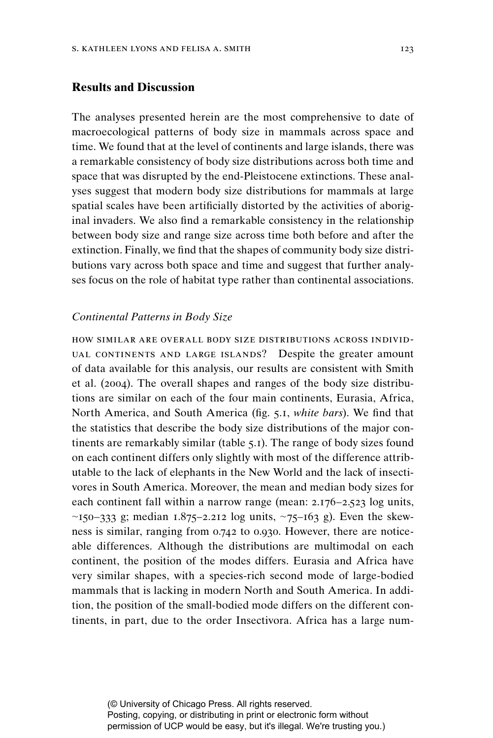# **Results and Discussion**

The analyses presented herein are the most comprehensive to date of macroecological patterns of body size in mammals across space and time. We found that at the level of continents and large islands, there was a remarkable consistency of body size distributions across both time and space that was disrupted by the end-Pleistocene extinctions. These analyses suggest that modern body size distributions for mammals at large spatial scales have been artificially distorted by the activities of aboriginal invaders. We also find a remarkable consistency in the relationship between body size and range size across time both before and after the extinction. Finally, we find that the shapes of community body size distributions vary across both space and time and suggest that further analyses focus on the role of habitat type rather than continental associations.

### *Continental Patterns in Body Size*

how similar are overall body size distributions across individual continents and large islands? Despite the greater amount of data available for this analysis, our results are consistent with Smith et al. (2004). The overall shapes and ranges of the body size distributions are similar on each of the four main continents, Eurasia, Africa, North America, and South America (fig. 5.1, *white bars*). We find that the statistics that describe the body size distributions of the major continents are remarkably similar (table 5.1). The range of body sizes found on each continent differs only slightly with most of the difference attributable to the lack of elephants in the New World and the lack of insectivores in South America. Moreover, the mean and median body sizes for each continent fall within a narrow range (mean: 2.176–2.523 log units, ∼150–333 g; median 1.875–2.212 log units, ∼75–163 g). Even the skewness is similar, ranging from 0.742 to 0.930. However, there are noticeable differences. Although the distributions are multimodal on each continent, the position of the modes differs. Eurasia and Africa have very similar shapes, with a species-rich second mode of large-bodied mammals that is lacking in modern North and South America. In addition, the position of the small-bodied mode differs on the different continents, in part, due to the order Insectivora. Africa has a large num-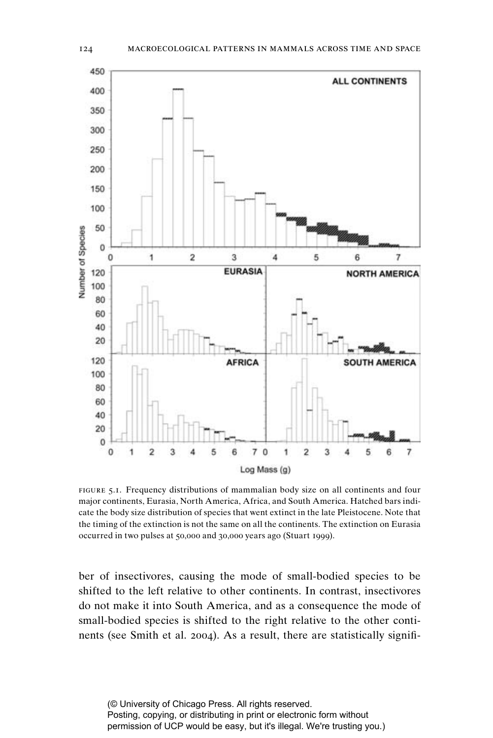

figure 5.1. Frequency distributions of mammalian body size on all continents and four major continents, Eurasia, North America, Africa, and South America. Hatched bars indicate the body size distribution of species that went extinct in the late Pleistocene. Note that the timing of the extinction is not the same on all the continents. The extinction on Eurasia occurred in two pulses at 50,000 and 30,000 years ago (Stuart 1999).

ber of insectivores, causing the mode of small-bodied species to be shifted to the left relative to other continents. In contrast, insectivores do not make it into South America, and as a consequence the mode of small-bodied species is shifted to the right relative to the other continents (see Smith et al. 2004). As a result, there are statistically signifi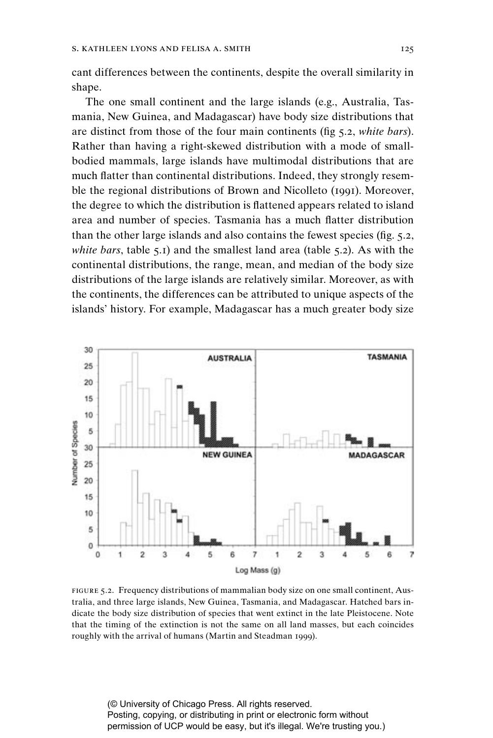cant differences between the continents, despite the overall similarity in shape.

The one small continent and the large islands (e.g., Australia, Tasmania, New Guinea, and Madagascar) have body size distributions that are distinct from those of the four main continents (fig 5.2, *white bars*). Rather than having a right-skewed distribution with a mode of smallbodied mammals, large islands have multimodal distributions that are much flatter than continental distributions. Indeed, they strongly resemble the regional distributions of Brown and Nicolleto (1991). Moreover, the degree to which the distribution is flattened appears related to island area and number of species. Tasmania has a much flatter distribution than the other large islands and also contains the fewest species (fig.  $5.2$ , *white bars*, table 5.1) and the smallest land area (table 5.2). As with the continental distributions, the range, mean, and median of the body size distributions of the large islands are relatively similar. Moreover, as with the continents, the differences can be attributed to unique aspects of the islands' history. For example, Madagascar has a much greater body size



figure 5.2. Frequency distributions of mammalian body size on one small continent, Australia, and three large islands, New Guinea, Tasmania, and Madagascar. Hatched bars indicate the body size distribution of species that went extinct in the late Pleistocene. Note that the timing of the extinction is not the same on all land masses, but each coincides roughly with the arrival of humans (Martin and Steadman 1999).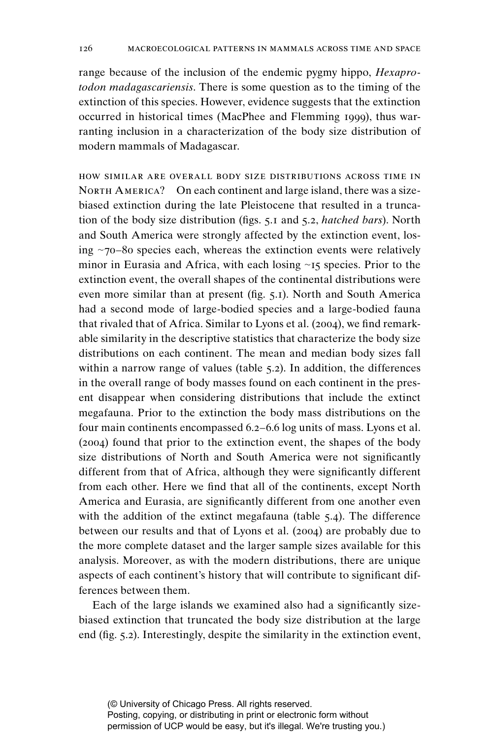range because of the inclusion of the endemic pygmy hippo, *Hexaprotodon madagascariensis*. There is some question as to the timing of the extinction of this species. However, evidence suggests that the extinction occurred in historical times (MacPhee and Flemming 1999), thus warranting inclusion in a characterization of the body size distribution of modern mammals of Madagascar.

how similar are overall body size distributions across time in NORTH AMERICA? On each continent and large island, there was a sizebiased extinction during the late Pleistocene that resulted in a truncation of the body size distribution (figs. 5.1 and 5.2, *hatched bars*). North and South America were strongly affected by the extinction event, losing ∼70–80 species each, whereas the extinction events were relatively minor in Eurasia and Africa, with each losing ∼15 species. Prior to the extinction event, the overall shapes of the continental distributions were even more similar than at present (fig. 5.1). North and South America had a second mode of large-bodied species and a large-bodied fauna that rivaled that of Africa. Similar to Lyons et al. (2004), we find remarkable similarity in the descriptive statistics that characterize the body size distributions on each continent. The mean and median body sizes fall within a narrow range of values (table 5.2). In addition, the differences in the overall range of body masses found on each continent in the present disappear when considering distributions that include the extinct megafauna. Prior to the extinction the body mass distributions on the four main continents encompassed 6.2–6.6 log units of mass. Lyons et al. (2004) found that prior to the extinction event, the shapes of the body size distributions of North and South America were not significantly different from that of Africa, although they were significantly different from each other. Here we find that all of the continents, except North America and Eurasia, are significantly different from one another even with the addition of the extinct megafauna (table 5.4). The difference between our results and that of Lyons et al. (2004) are probably due to the more complete dataset and the larger sample sizes available for this analysis. Moreover, as with the modern distributions, there are unique aspects of each continent's history that will contribute to significant differences between them.

Each of the large islands we examined also had a significantly sizebiased extinction that truncated the body size distribution at the large end (fig. 5.2). Interestingly, despite the similarity in the extinction event,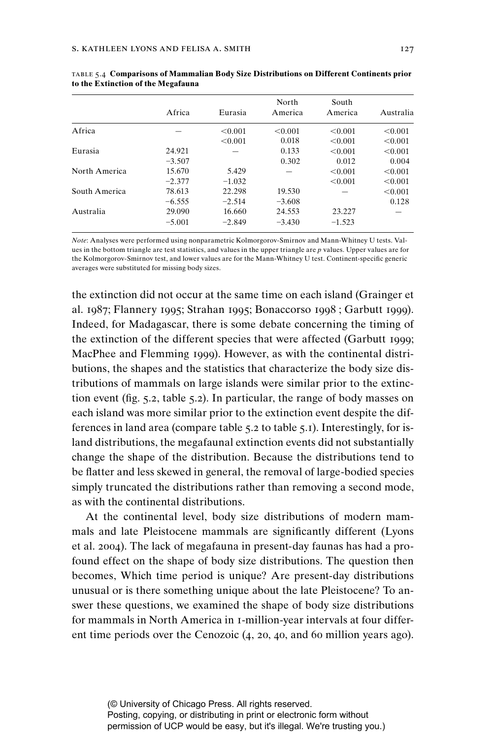|               | Africa   | Eurasia  | North<br>A merica | South<br>America | Australia |
|---------------|----------|----------|-------------------|------------------|-----------|
| Africa        |          | < 0.001  | < 0.001           | < 0.001          | < 0.001   |
|               |          | < 0.001  | 0.018             | < 0.001          | < 0.001   |
| Eurasia       | 24.921   |          | 0.133             | < 0.001          | < 0.001   |
|               | $-3.507$ |          | 0.302             | 0.012            | 0.004     |
| North America | 15.670   | 5.429    |                   | < 0.001          | < 0.001   |
|               | $-2.377$ | $-1.032$ |                   | < 0.001          | < 0.001   |
| South America | 78.613   | 22.298   | 19.530            |                  | < 0.001   |
|               | $-6.555$ | $-2.514$ | $-3.608$          |                  | 0.128     |
| Australia     | 29.090   | 16.660   | 24.553            | 23.227           |           |
|               | $-5.001$ | $-2.849$ | $-3.430$          | $-1.523$         |           |

table 5.4 **Comparisons of Mammalian Body Size Distributions on Different Continents prior to the Extinction of the Megafauna**

*Note*: Analyses were performed using nonparametric Kolmorgorov-Smirnov and Mann-Whitney U tests. Values in the bottom triangle are test statistics, and values in the upper triangle are *p* values. Upper values are for the Kolmorgorov-Smirnov test, and lower values are for the Mann-Whitney U test. Continent-specific generic averages were substituted for missing body sizes.

the extinction did not occur at the same time on each island (Grainger et al. 1987; Flannery 1995; Strahan 1995; Bonaccorso 1998 ; Garbutt 1999). Indeed, for Madagascar, there is some debate concerning the timing of the extinction of the different species that were affected (Garbutt 1999; MacPhee and Flemming 1999). However, as with the continental distributions, the shapes and the statistics that characterize the body size distributions of mammals on large islands were similar prior to the extinction event (fig.  $5.2$ , table  $5.2$ ). In particular, the range of body masses on each island was more similar prior to the extinction event despite the differences in land area (compare table 5.2 to table 5.1). Interestingly, for island distributions, the megafaunal extinction events did not substantially change the shape of the distribution. Because the distributions tend to be flatter and less skewed in general, the removal of large-bodied species simply truncated the distributions rather than removing a second mode, as with the continental distributions.

At the continental level, body size distributions of modern mammals and late Pleistocene mammals are significantly different (Lyons et al. 2004). The lack of megafauna in present-day faunas has had a profound effect on the shape of body size distributions. The question then becomes, Which time period is unique? Are present-day distributions unusual or is there something unique about the late Pleistocene? To answer these questions, we examined the shape of body size distributions for mammals in North America in 1-million-year intervals at four different time periods over the Cenozoic (4, 20, 40, and 60 million years ago).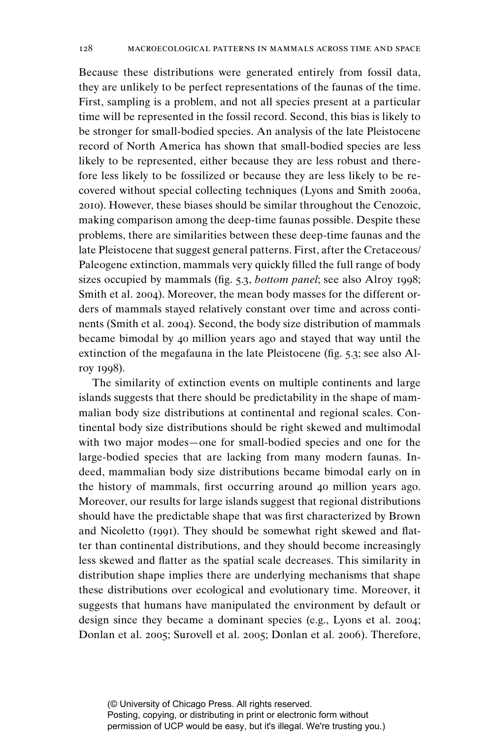Because these distributions were generated entirely from fossil data, they are unlikely to be perfect representations of the faunas of the time. First, sampling is a problem, and not all species present at a particular time will be represented in the fossil record. Second, this bias is likely to be stronger for small-bodied species. An analysis of the late Pleistocene record of North America has shown that small-bodied species are less likely to be represented, either because they are less robust and therefore less likely to be fossilized or because they are less likely to be recovered without special collecting techniques (Lyons and Smith 2006a, 2010). However, these biases should be similar throughout the Cenozoic, making comparison among the deep-time faunas possible. Despite these problems, there are similarities between these deep-time faunas and the late Pleistocene that suggest general patterns. First, after the Cretaceous/ Paleogene extinction, mammals very quickly filled the full range of body sizes occupied by mammals (fig. 5.3, *bottom panel*; see also Alroy 1998; Smith et al. 2004). Moreover, the mean body masses for the different orders of mammals stayed relatively constant over time and across continents (Smith et al. 2004). Second, the body size distribution of mammals became bimodal by 40 million years ago and stayed that way until the extinction of the megafauna in the late Pleistocene (fig.  $5.3$ ; see also Alroy 1998).

The similarity of extinction events on multiple continents and large islands suggests that there should be predictability in the shape of mammalian body size distributions at continental and regional scales. Continental body size distributions should be right skewed and multimodal with two major modes—one for small-bodied species and one for the large-bodied species that are lacking from many modern faunas. Indeed, mammalian body size distributions became bimodal early on in the history of mammals, first occurring around 40 million years ago. Moreover, our results for large islands suggest that regional distributions should have the predictable shape that was first characterized by Brown and Nicoletto (1991). They should be somewhat right skewed and flatter than continental distributions, and they should become increasingly less skewed and flatter as the spatial scale decreases. This similarity in distribution shape implies there are underlying mechanisms that shape these distributions over ecological and evolutionary time. Moreover, it suggests that humans have manipulated the environment by default or design since they became a dominant species (e.g., Lyons et al. 2004; Donlan et al. 2005; Surovell et al. 2005; Donlan et al. 2006). Therefore,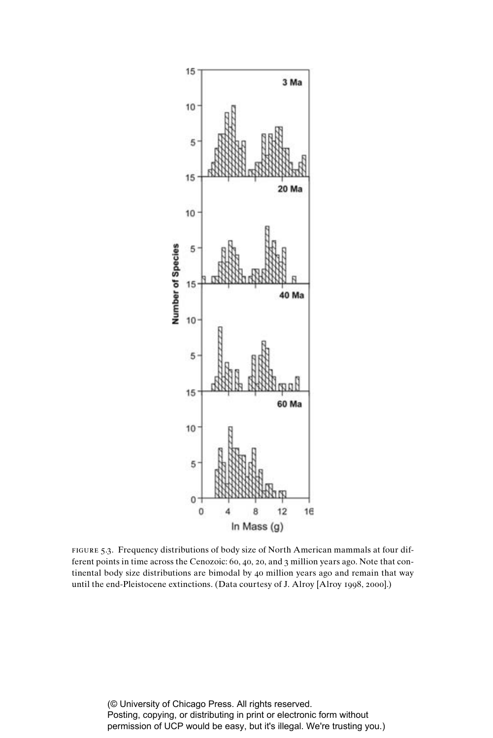

figure 5.3. Frequency distributions of body size of North American mammals at four different points in time across the Cenozoic: 60, 40, 20, and 3 million years ago. Note that continental body size distributions are bimodal by 40 million years ago and remain that way until the end-Pleistocene extinctions. (Data courtesy of J. Alroy [Alroy 1998, 2000].)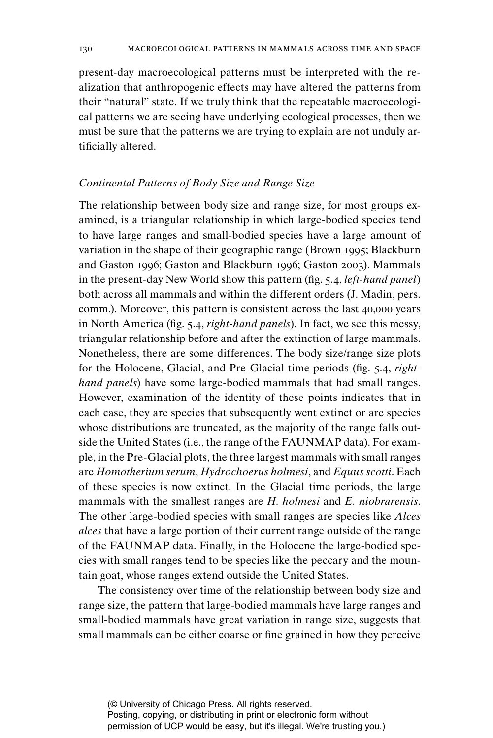present-day macroecological patterns must be interpreted with the realization that anthropogenic effects may have altered the patterns from their "natural" state. If we truly think that the repeatable macroecological patterns we are seeing have underlying ecological processes, then we must be sure that the patterns we are trying to explain are not unduly artificially altered.

## *Continental Patterns of Body Size and Range Size*

The relationship between body size and range size, for most groups examined, is a triangular relationship in which large-bodied species tend to have large ranges and small-bodied species have a large amount of variation in the shape of their geographic range (Brown 1995; Blackburn and Gaston 1996; Gaston and Blackburn 1996; Gaston 2003). Mammals in the present-day New World show this pattern (fig. 5.4, *left-hand panel*) both across all mammals and within the different orders (J. Madin, pers. comm.). Moreover, this pattern is consistent across the last 40,000 years in North America (fig. 5.4, *right-hand panels*). In fact, we see this messy, triangular relationship before and after the extinction of large mammals. Nonetheless, there are some differences. The body size/range size plots for the Holocene, Glacial, and Pre-Glacial time periods (fig. 5.4, *righthand panels*) have some large-bodied mammals that had small ranges. However, examination of the identity of these points indicates that in each case, they are species that subsequently went extinct or are species whose distributions are truncated, as the majority of the range falls outside the United States (i.e., the range of the FAUNMAP data). For example, in the Pre-Glacial plots, the three largest mammals with small ranges are *Homotherium serum*, *Hydrochoerus holmesi*, and *Equus scotti*. Each of these species is now extinct. In the Glacial time periods, the large mammals with the smallest ranges are *H. holmesi* and *E. niobrarensis*. The other large-bodied species with small ranges are species like *Alces alces* that have a large portion of their current range outside of the range of the FAUNMAP data. Finally, in the Holocene the large-bodied species with small ranges tend to be species like the peccary and the mountain goat, whose ranges extend outside the United States.

 The consistency over time of the relationship between body size and range size, the pattern that large-bodied mammals have large ranges and small-bodied mammals have great variation in range size, suggests that small mammals can be either coarse or fine grained in how they perceive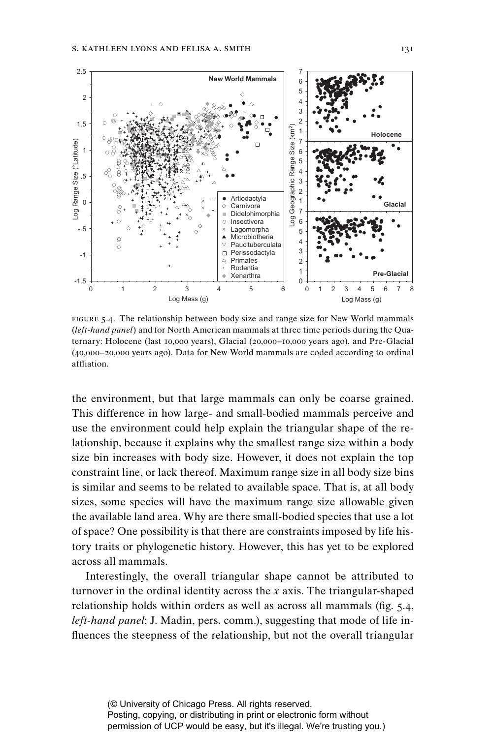

figure 5.4. The relationship between body size and range size for New World mammals (*left-hand panel*) and for North American mammals at three time periods during the Quaternary: Holocene (last 10,000 years), Glacial (20,000–10,000 years ago), and Pre-Glacial (40,000–20,000 years ago). Data for New World mammals are coded according to ordinal affliation.

the environment, but that large mammals can only be coarse grained. This difference in how large- and small-bodied mammals perceive and use the environment could help explain the triangular shape of the relationship, because it explains why the smallest range size within a body size bin increases with body size. However, it does not explain the top constraint line, or lack thereof. Maximum range size in all body size bins is similar and seems to be related to available space. That is, at all body sizes, some species will have the maximum range size allowable given the available land area. Why are there small-bodied species that use a lot of space? One possibility is that there are constraints imposed by life history traits or phylogenetic history. However, this has yet to be explored across all mammals.

Interestingly, the overall triangular shape cannot be attributed to turnover in the ordinal identity across the *x* axis. The triangular-shaped relationship holds within orders as well as across all mammals (fig. 5.4, *left-hand panel*; J. Madin, pers. comm.), suggesting that mode of life influences the steepness of the relationship, but not the overall triangular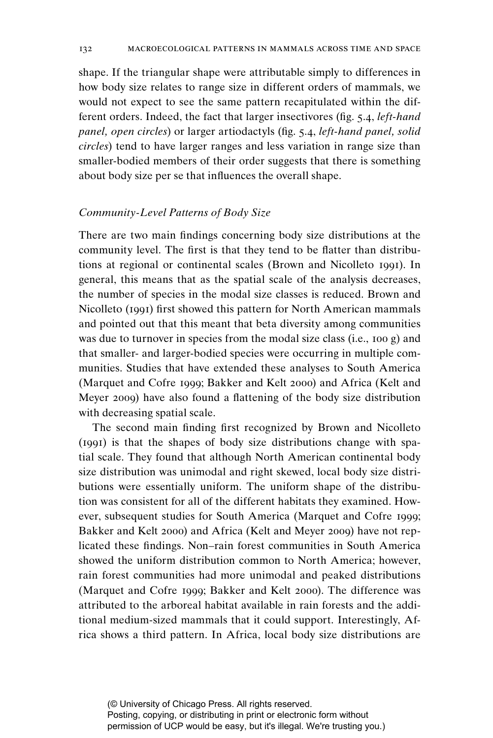shape. If the triangular shape were attributable simply to differences in how body size relates to range size in different orders of mammals, we would not expect to see the same pattern recapitulated within the different orders. Indeed, the fact that larger insectivores (fig. 5.4, *left-hand panel, open circles*) or larger artiodactyls (fig. 5.4, *left-hand panel, solid circles*) tend to have larger ranges and less variation in range size than smaller-bodied members of their order suggests that there is something about body size per se that influences the overall shape.

# *Community-Level Patterns of Body Size*

There are two main findings concerning body size distributions at the community level. The first is that they tend to be flatter than distributions at regional or continental scales (Brown and Nicolleto 1991). In general, this means that as the spatial scale of the analysis decreases, the number of species in the modal size classes is reduced. Brown and Nicolleto (1991) first showed this pattern for North American mammals and pointed out that this meant that beta diversity among communities was due to turnover in species from the modal size class (i.e., 100 g) and that smaller- and larger-bodied species were occurring in multiple communities. Studies that have extended these analyses to South America (Marquet and Cofre 1999; Bakker and Kelt 2000) and Africa (Kelt and Meyer 2009) have also found a flattening of the body size distribution with decreasing spatial scale.

The second main finding first recognized by Brown and Nicolleto (1991) is that the shapes of body size distributions change with spatial scale. They found that although North American continental body size distribution was unimodal and right skewed, local body size distributions were essentially uniform. The uniform shape of the distribution was consistent for all of the different habitats they examined. However, subsequent studies for South America (Marquet and Cofre 1999; Bakker and Kelt 2000) and Africa (Kelt and Meyer 2009) have not replicated these findings. Non-rain forest communities in South America showed the uniform distribution common to North America; however, rain forest communities had more unimodal and peaked distributions (Marquet and Cofre 1999; Bakker and Kelt 2000). The difference was attributed to the arboreal habitat available in rain forests and the additional medium-sized mammals that it could support. Interestingly, Africa shows a third pattern. In Africa, local body size distributions are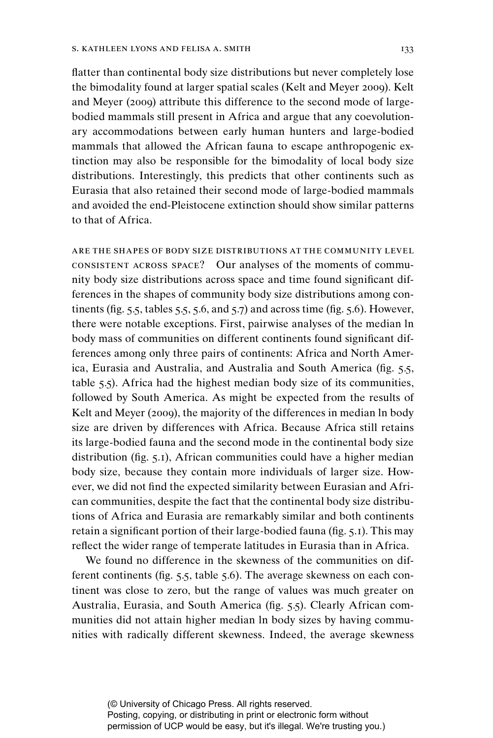flatter than continental body size distributions but never completely lose the bimodality found at larger spatial scales (Kelt and Meyer 2009). Kelt and Meyer (2009) attribute this difference to the second mode of large bodied mammals still present in Africa and argue that any coevolutionary accommodations between early human hunters and large-bodied mammals that allowed the African fauna to escape anthropogenic extinction may also be responsible for the bimodality of local body size distributions. Interestingly, this predicts that other continents such as Eurasia that also retained their second mode of large-bodied mammals and avoided the end-Pleistocene extinction should show similar patterns to that of Africa.

are the shapes of body size distributions at the community level consistent across space? Our analyses of the moments of community body size distributions across space and time found significant differences in the shapes of community body size distributions among continents (fig.  $5.5$ , tables  $5.5$ ,  $5.6$ , and  $5.7$ ) and across time (fig.  $5.6$ ). However, there were notable exceptions. First, pairwise analyses of the median ln body mass of communities on different continents found significant differences among only three pairs of continents: Africa and North America, Eurasia and Australia, and Australia and South America (fig. 5.5, table 5.5). Africa had the highest median body size of its communities, followed by South America. As might be expected from the results of Kelt and Meyer (2009), the majority of the differences in median ln body size are driven by differences with Africa. Because Africa still retains its large-bodied fauna and the second mode in the continental body size distribution (fig.  $5.1$ ), African communities could have a higher median body size, because they contain more individuals of larger size. However, we did not find the expected similarity between Eurasian and African communities, despite the fact that the continental body size distributions of Africa and Eurasia are remarkably similar and both continents retain a significant portion of their large-bodied fauna (fig. 5.1). This may reflect the wider range of temperate latitudes in Eurasia than in Africa.

We found no difference in the skewness of the communities on different continents (fig.  $5.5$ , table  $5.6$ ). The average skewness on each continent was close to zero, but the range of values was much greater on Australia, Eurasia, and South America (fig. 5.5). Clearly African communities did not attain higher median ln body sizes by having communities with radically different skewness. Indeed, the average skewness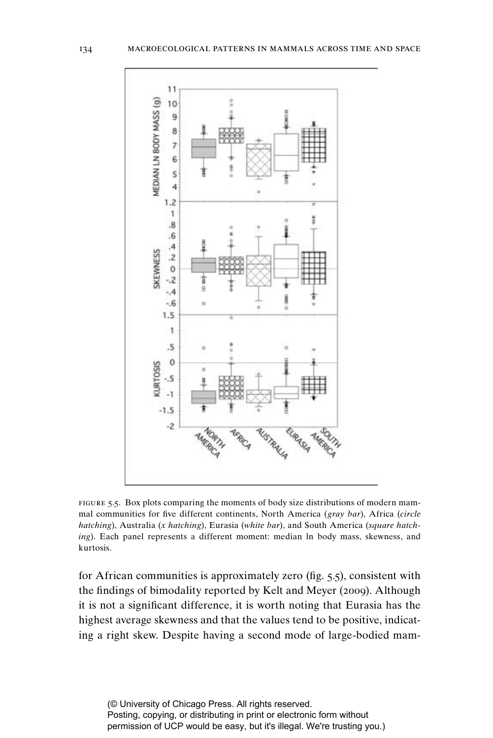

figure 5.5. Box plots comparing the moments of body size distributions of modern mammal communities for five different continents, North America (*gray bar*), Africa (*circle hatching*), Australia (*x hatching*), Eurasia (*white bar*), and South America (*square hatching*). Each panel represents a different moment: median ln body mass, skewness, and kurtosis.

for African communities is approximately zero (fig.  $5.5$ ), consistent with the findings of bimodality reported by Kelt and Meyer (2009). Although it is not a significant difference, it is worth noting that Eurasia has the highest average skewness and that the values tend to be positive, indicating a right skew. Despite having a second mode of large-bodied mam-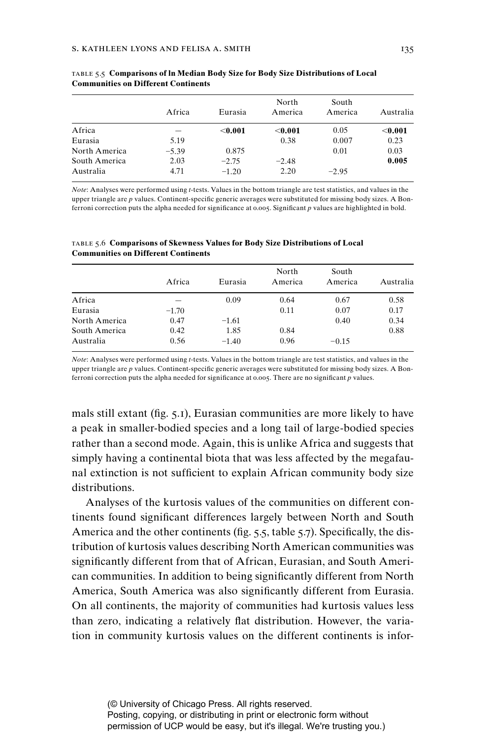|               | Africa  | Eurasia        | North<br>A merica | South<br>America | Australia      |
|---------------|---------|----------------|-------------------|------------------|----------------|
| Africa        |         | $<$ 0.001 $\,$ | $<$ 0.001 $\,$    | 0.05             | $<$ 0.001 $\,$ |
| Eurasia       | 5.19    |                | 0.38              | 0.007            | 0.23           |
| North America | $-5.39$ | 0.875          |                   | 0.01             | 0.03           |
| South America | 2.03    | $-2.75$        | $-2.48$           |                  | 0.005          |
| Australia     | 4.71    | $-1.20$        | 2.20              | $-2.95$          |                |

table 5.5 **Comparisons of ln Median Body Size for Body Size Distributions of Local Communities on Different Continents**

*Note*: Analyses were performed using *t*-tests. Values in the bottom triangle are test statistics, and values in the upper triangle are *p* values. Continent-specific generic averages were substituted for missing body sizes. A Bonferroni correction puts the alpha needed for significance at 0.005. Significant *p* values are highlighted in bold.

|               | Africa  | Eurasia | North<br>America | South<br>America | Australia |
|---------------|---------|---------|------------------|------------------|-----------|
| Africa        |         | 0.09    | 0.64             | 0.67             | 0.58      |
| Eurasia       | $-1.70$ |         | 0.11             | 0.07             | 0.17      |
| North America | 0.47    | $-1.61$ |                  | 0.40             | 0.34      |
| South America | 0.42    | 1.85    | 0.84             |                  | 0.88      |
| Australia     | 0.56    | $-1.40$ | 0.96             | $-0.15$          |           |

#### table 5.6 **Comparisons of Skewness Values for Body Size Distributions of Local Communities on Different Continents**

*Note*: Analyses were performed using *t*-tests. Values in the bottom triangle are test statistics, and values in the upper triangle are *p* values. Continent-specific generic averages were substituted for missing body sizes. A Bonferroni correction puts the alpha needed for significance at 0.005. There are no significant *p* values.

mals still extant (fig.  $\zeta$ .), Eurasian communities are more likely to have a peak in smaller-bodied species and a long tail of large-bodied species rather than a second mode. Again, this is unlike Africa and suggests that simply having a continental biota that was less affected by the megafaunal extinction is not sufficient to explain African community body size distributions.

Analyses of the kurtosis values of the communities on different continents found significant differences largely between North and South America and the other continents (fig.  $5.5$ , table  $5.7$ ). Specifically, the distribution of kurtosis values describing North American communities was significantly different from that of African, Eurasian, and South American communities. In addition to being significantly different from North America, South America was also significantly different from Eurasia. On all continents, the majority of communities had kurtosis values less than zero, indicating a relatively flat distribution. However, the variation in community kurtosis values on the different continents is infor-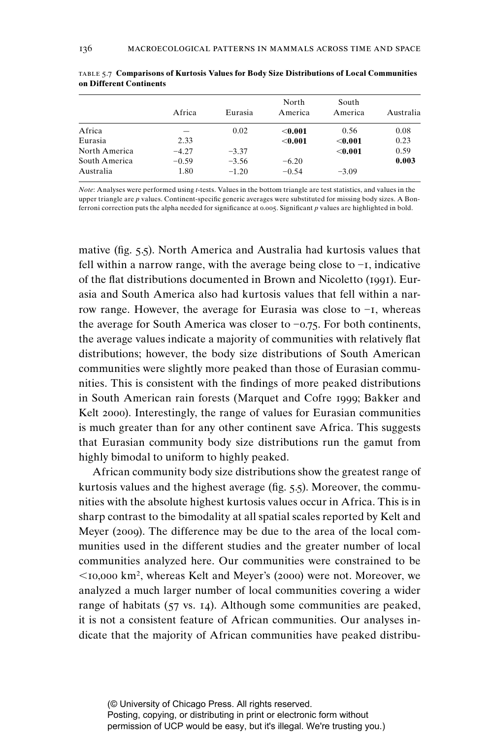|               | Africa  | Eurasia | North<br>A merica | South<br>America | Australia |
|---------------|---------|---------|-------------------|------------------|-----------|
| Africa        |         | 0.02    | $<$ 0.001 $\,$    | 0.56             | 0.08      |
| Eurasia       | 2.33    |         | $<$ 0.001 $\,$    | $<$ 0.001 $\,$   | 0.23      |
| North America | $-4.27$ | $-3.37$ |                   | $<$ 0.001        | 0.59      |
| South America | $-0.59$ | $-3.56$ | $-6.20$           |                  | 0.003     |
| Australia     | 1.80    | $-1.20$ | $-0.54$           | $-3.09$          |           |

table 5.7 **Comparisons of Kurtosis Values for Body Size Distributions of Local Communities on Different Continents**

*Note*: Analyses were performed using *t*-tests. Values in the bottom triangle are test statistics, and values in the upper triangle are *p* values. Continent-specific generic averages were substituted for missing body sizes. A Bonferroni correction puts the alpha needed for significance at 0.005. Significant *p* values are highlighted in bold.

mative (fig. 5.5). North America and Australia had kurtosis values that fell within a narrow range, with the average being close to  $-i$ , indicative of the flat distributions documented in Brown and Nicoletto (1991). Eurasia and South America also had kurtosis values that fell within a narrow range. However, the average for Eurasia was close to  $-i$ , whereas the average for South America was closer to –0.75. For both continents, the average values indicate a majority of communities with relatively flat distributions; however, the body size distributions of South American communities were slightly more peaked than those of Eurasian communities. This is consistent with the findings of more peaked distributions in South American rain forests (Marquet and Cofre 1999; Bakker and Kelt 2000). Interestingly, the range of values for Eurasian communities is much greater than for any other continent save Africa. This suggests that Eurasian community body size distributions run the gamut from highly bimodal to uniform to highly peaked.

African community body size distributions show the greatest range of kurtosis values and the highest average (fig.  $5.5$ ). Moreover, the communities with the absolute highest kurtosis values occur in Africa. This is in sharp contrast to the bimodality at all spatial scales reported by Kelt and Meyer (2009). The difference may be due to the area of the local communities used in the different studies and the greater number of local communities analyzed here. Our communities were constrained to be <10,000 km2, whereas Kelt and Meyer's (2000) were not. Moreover, we analyzed a much larger number of local communities covering a wider range of habitats (57 vs. 14). Although some communities are peaked, it is not a consistent feature of African communities. Our analyses indicate that the majority of African communities have peaked distribu-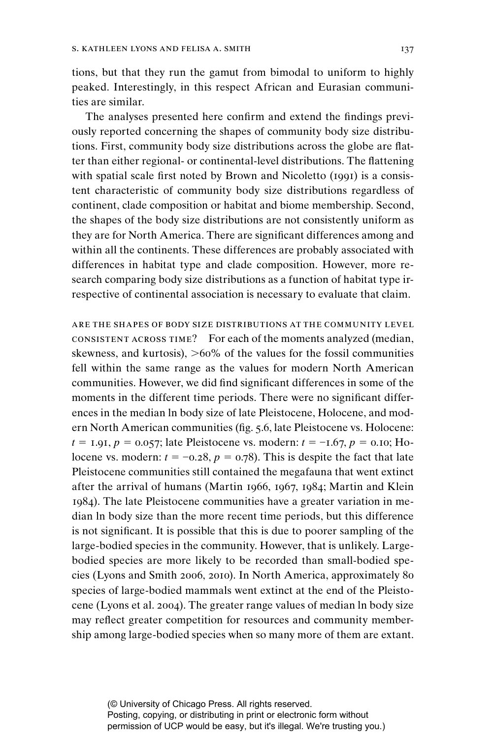tions, but that they run the gamut from bimodal to uniform to highly peaked. Interestingly, in this respect African and Eurasian communities are similar.

The analyses presented here confirm and extend the findings previously reported concerning the shapes of community body size distributions. First, community body size distributions across the globe are flatter than either regional- or continental-level distributions. The flattening with spatial scale first noted by Brown and Nicoletto  $(1991)$  is a consistent characteristic of community body size distributions regardless of continent, clade composition or habitat and biome membership. Second, the shapes of the body size distributions are not consistently uniform as they are for North America. There are significant differences among and within all the continents. These differences are probably associated with differences in habitat type and clade composition. However, more research comparing body size distributions as a function of habitat type irrespective of continental association is necessary to evaluate that claim.

are the shapes of body size distributions at the community level consistent across time? For each of the moments analyzed (median, skewness, and kurtosis), >60% of the values for the fossil communities fell within the same range as the values for modern North American communities. However, we did find significant differences in some of the moments in the different time periods. There were no significant differences in the median ln body size of late Pleistocene, Holocene, and modern North American communities (fig. 5.6, late Pleistocene vs. Holocene: *t* = 1.91, *p* = 0.057; late Pleistocene vs. modern:  $t = -1.67$ ,  $p = 0.10$ ; Holocene vs. modern:  $t = -0.28$ ,  $p = 0.78$ ). This is despite the fact that late Pleistocene communities still contained the megafauna that went extinct after the arrival of humans (Martin 1966, 1967, 1984; Martin and Klein 1984). The late Pleistocene communities have a greater variation in median ln body size than the more recent time periods, but this difference is not significant. It is possible that this is due to poorer sampling of the large-bodied species in the community. However, that is unlikely. Largebodied species are more likely to be recorded than small-bodied species (Lyons and Smith 2006, 2010). In North America, approximately 80 species of large-bodied mammals went extinct at the end of the Pleistocene (Lyons et al. 2004). The greater range values of median ln body size may reflect greater competition for resources and community membership among large-bodied species when so many more of them are extant.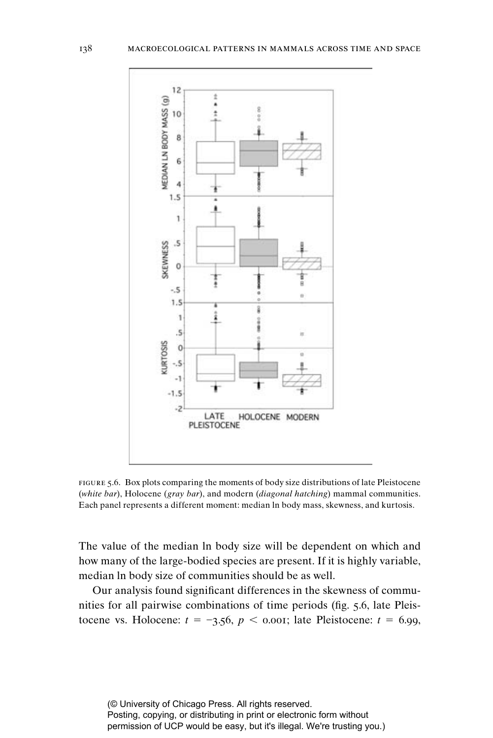

figure 5.6. Box plots comparing the moments of body size distributions of late Pleistocene (*white bar*), Holocene (*gray bar*), and modern (*diagonal hatching*) mammal communities. Each panel represents a different moment: median ln body mass, skewness, and kurtosis.

The value of the median ln body size will be dependent on which and how many of the large-bodied species are present. If it is highly variable, median ln body size of communities should be as well.

Our analysis found significant differences in the skewness of communities for all pairwise combinations of time periods (fig. 5.6, late Pleistocene vs. Holocene:  $t = -3.56$ ,  $p < 0.001$ ; late Pleistocene:  $t = 6.99$ ,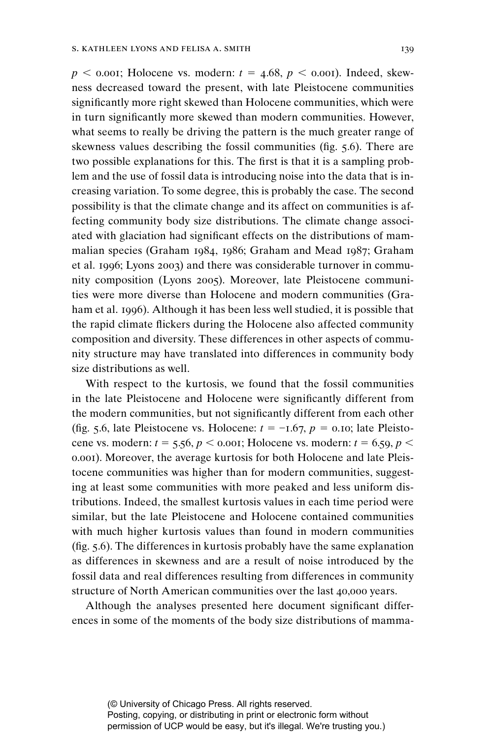$p \le 0.001$ ; Holocene vs. modern:  $t = 4.68$ ,  $p \le 0.001$ ). Indeed, skewness decreased toward the present, with late Pleistocene communities significantly more right skewed than Holocene communities, which were in turn significantly more skewed than modern communities. However, what seems to really be driving the pattern is the much greater range of skewness values describing the fossil communities (fig.  $5.6$ ). There are two possible explanations for this. The first is that it is a sampling problem and the use of fossil data is introducing noise into the data that is increasing variation. To some degree, this is probably the case. The second possibility is that the climate change and its affect on communities is affecting community body size distributions. The climate change associated with glaciation had significant effects on the distributions of mammalian species (Graham 1984, 1986; Graham and Mead 1987; Graham et al. 1996; Lyons 2003) and there was considerable turnover in community composition (Lyons 2005). Moreover, late Pleistocene communities were more diverse than Holocene and modern communities (Graham et al. 1996). Although it has been less well studied, it is possible that the rapid climate flickers during the Holocene also affected community composition and diversity. These differences in other aspects of community structure may have translated into differences in community body size distributions as well.

With respect to the kurtosis, we found that the fossil communities in the late Pleistocene and Holocene were significantly different from the modern communities, but not significantly different from each other (fig. 5.6, late Pleistocene vs. Holocene:  $t = -1.67$ ,  $p = 0.10$ ; late Pleistocene vs. modern:  $t = 5.56, p \le 0.001$ ; Holocene vs. modern:  $t = 6.59, p \le$ 0.001). Moreover, the average kurtosis for both Holocene and late Pleistocene communities was higher than for modern communities, suggesting at least some communities with more peaked and less uniform distributions. Indeed, the smallest kurtosis values in each time period were similar, but the late Pleistocene and Holocene contained communities with much higher kurtosis values than found in modern communities (fig.  $5.6$ ). The differences in kurtosis probably have the same explanation as differences in skewness and are a result of noise introduced by the fossil data and real differences resulting from differences in community structure of North American communities over the last 40,000 years.

Although the analyses presented here document significant differences in some of the moments of the body size distributions of mamma-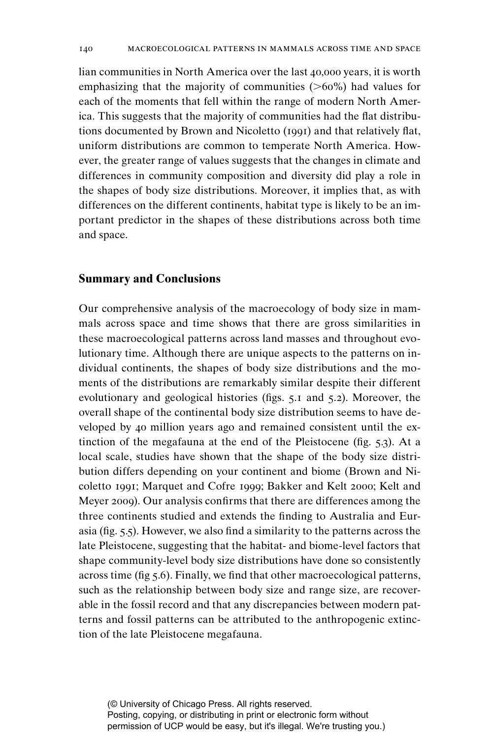lian communities in North America over the last 40,000 years, it is worth emphasizing that the majority of communities (>60%) had values for each of the moments that fell within the range of modern North America. This suggests that the majority of communities had the flat distributions documented by Brown and Nicoletto (1991) and that relatively flat, uniform distributions are common to temperate North America. However, the greater range of values suggests that the changes in climate and differences in community composition and diversity did play a role in the shapes of body size distributions. Moreover, it implies that, as with differences on the different continents, habitat type is likely to be an important predictor in the shapes of these distributions across both time and space.

#### **Summary and Conclusions**

Our comprehensive analysis of the macroecology of body size in mammals across space and time shows that there are gross similarities in these macroecological patterns across land masses and throughout evolutionary time. Although there are unique aspects to the patterns on individual continents, the shapes of body size distributions and the moments of the distributions are remarkably similar despite their different evolutionary and geological histories (figs.  $5.1$  and  $5.2$ ). Moreover, the overall shape of the continental body size distribution seems to have developed by 40 million years ago and remained consistent until the extinction of the megafauna at the end of the Pleistocene (fig.  $5.3$ ). At a local scale, studies have shown that the shape of the body size distribution differs depending on your continent and biome (Brown and Nicoletto 1991; Marquet and Cofre 1999; Bakker and Kelt 2000; Kelt and Meyer 2009). Our analysis confirms that there are differences among the three continents studied and extends the finding to Australia and Eurasia (fig.  $5.5$ ). However, we also find a similarity to the patterns across the late Pleistocene, suggesting that the habitat- and biome-level factors that shape community-level body size distributions have done so consistently across time (fig  $5.6$ ). Finally, we find that other macroecological patterns, such as the relationship between body size and range size, are recoverable in the fossil record and that any discrepancies between modern patterns and fossil patterns can be attributed to the anthropogenic extinction of the late Pleistocene megafauna.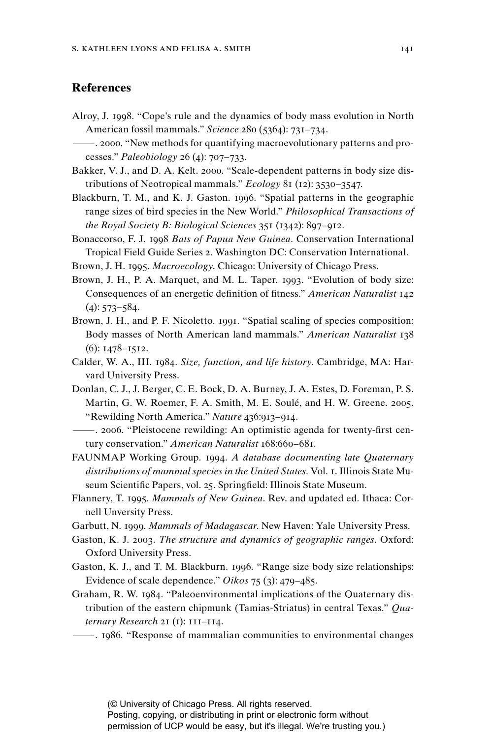# **References**

- Alroy, J. 1998. "Cope's rule and the dynamics of body mass evolution in North American fossil mammals." *Science* 280 (5364): 731–734.
- ———. 2000. "New methods for quantifying macroevolutionary patterns and processes." *Paleobiology* 26 (4): 707–733.
- Bakker, V. J., and D. A. Kelt. 2000. "Scale-dependent patterns in body size distributions of Neotropical mammals." *Ecology* 81 (12): 3530–3547.
- Blackburn, T. M., and K. J. Gaston. 1996. "Spatial patterns in the geographic range sizes of bird species in the New World." *Philosophical Transactions of the Royal Society B: Biological Sciences* 351 (1342): 897–912.
- Bonaccorso, F. J. 1998 *Bats of Papua New Guinea*. Conservation International Tropical Field Guide Series 2. Washington DC: Conservation International.
- Brown, J. H. 1995. *Macroecology*. Chicago: University of Chicago Press.
- Brown, J. H., P. A. Marquet, and M. L. Taper. 1993. "Evolution of body size: Consequences of an energetic definition of fitness." *American Naturalist* 142  $(4): 573 - 584.$
- Brown, J. H., and P. F. Nicoletto. 1991. "Spatial scaling of species composition: Body masses of North American land mammals." *American Naturalist* 138 (6): 1478–1512.
- Calder, W. A., III. 1984. *Size, function, and life history*. Cambridge, MA: Harvard University Press.
- Donlan, C. J., J. Berger, C. E. Bock, D. A. Burney, J. A. Estes, D. Foreman, P. S. Martin, G. W. Roemer, F. A. Smith, M. E. Soulé, and H. W. Greene. 2005. "Rewilding North America." *Nature* 436:913–914.
- ———. 2006. "Pleistocene rewilding: An optimistic agenda for twenty-first century conservation." *American Naturalist* 168:660–681.
- FAUNMAP Working Group. 1994. *A database documenting late Quaternary distributions of mammal species in the United States*. Vol. 1. Illinois State Museum Scientific Papers, vol. 25. Springfield: Illinois State Museum.
- Flannery, T. 1995. *Mammals of New Guinea*. Rev. and updated ed. Ithaca: Cornell Unversity Press.
- Garbutt, N. 1999. *Mammals of Madagascar*. New Haven: Yale University Press.
- Gaston, K. J. 2003. *The structure and dynamics of geographic ranges*. Oxford: Oxford University Press.
- Gaston, K. J., and T. M. Blackburn. 1996. "Range size body size relationships: Evidence of scale dependence." *Oikos* 75 (3): 479–485.
- Graham, R. W. 1984. "Paleoenvironmental implications of the Quaternary distribution of the eastern chipmunk (Tamias-Striatus) in central Texas." *Quaternary Research* 21 (1): 111–114.
- ———. 1986. "Response of mammalian communities to environmental changes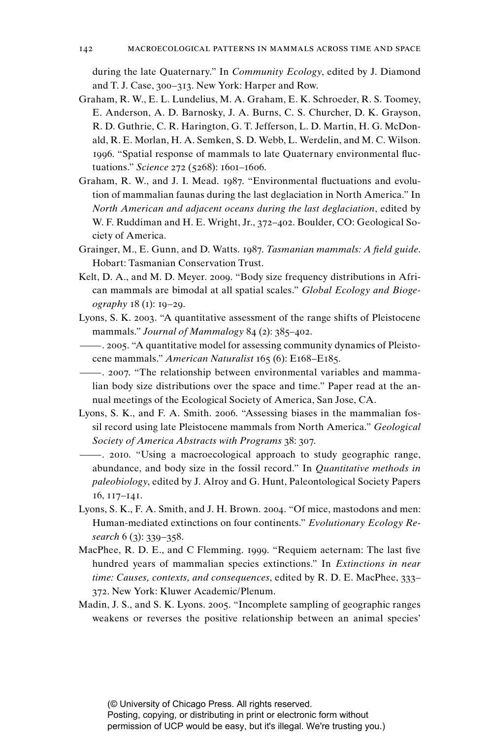during the late Quaternary." In *Community Ecology*, edited by J. Diamond and T. J. Case, 300–313. New York: Harper and Row.

- Graham, R. W., E. L. Lundelius, M. A. Graham, E. K. Schroeder, R. S. Toomey, E. Anderson, A. D. Barnosky, J. A. Burns, C. S. Churcher, D. K. Grayson, R. D. Guthrie, C. R. Harington, G. T. Jefferson, L. D. Martin, H. G. McDonald, R. E. Morlan, H. A. Semken, S. D. Webb, L. Werdelin, and M. C. Wilson. 1996. "Spatial response of mammals to late Quaternary environmental fluctuations." *Science* 272 (5268): 1601–1606.
- Graham, R. W., and J. I. Mead. 1987. "Environmental fluctuations and evolution of mammalian faunas during the last deglaciation in North America." In *North American and adjacent oceans during the last deglaciation*, edited by W. F. Ruddiman and H. E. Wright, Jr., 372–402. Boulder, CO: Geological Society of America.
- Grainger, M., E. Gunn, and D. Watts. 1987. *Tasmanian mammals: A field guide.* Hobart: Tasmanian Conservation Trust.
- Kelt, D. A., and M. D. Meyer. 2009. "Body size frequency distributions in African mammals are bimodal at all spatial scales." *Global Ecology and Biogeography* 18 (1): 19–29.
- Lyons, S. K. 2003. "A quantitative assessment of the range shifts of Pleistocene mammals." *Journal of Mammalogy* 84 (2): 385-402.
- $-$ . 2005. "A quantitative model for assessing community dynamics of Pleistocene mammals." *American Naturalist* 165 (6): E168–E185.
- ———. 2007. "The relationship between environmental variables and mammalian body size distributions over the space and time." Paper read at the annual meetings of the Ecological Society of America, San Jose, CA.
- Lyons, S. K., and F. A. Smith. 2006. "Assessing biases in the mammalian fossil record using late Pleistocene mammals from North America." *Geological Society of America Abstracts with Programs* 38: 307.

———. 2010. "Using a macroecological approach to study geographic range, abundance, and body size in the fossil record." In *Quantitative methods in paleobiology*, edited by J. Alroy and G. Hunt, Paleontological Society Papers 16, 117–141.

- Lyons, S. K., F. A. Smith, and J. H. Brown. 2004. "Of mice, mastodons and men: Human-mediated extinctions on four continents." *Evolutionary Ecology Research* 6 (3): 339–358.
- MacPhee, R. D. E., and C Flemming. 1999. "Requiem aeternam: The last five hundred years of mammalian species extinctions." In *Extinctions in near time: Causes, contexts, and consequences*, edited by R. D. E. MacPhee, 333– 372. New York: Kluwer Academic/Plenum.
- Madin, J. S., and S. K. Lyons. 2005. "Incomplete sampling of geographic ranges weakens or reverses the positive relationship between an animal species'

(© University of Chicago Press. All rights reserved.

Posting, copying, or distributing in print or electronic form without permission of UCP would be easy, but it's illegal. We're trusting you.)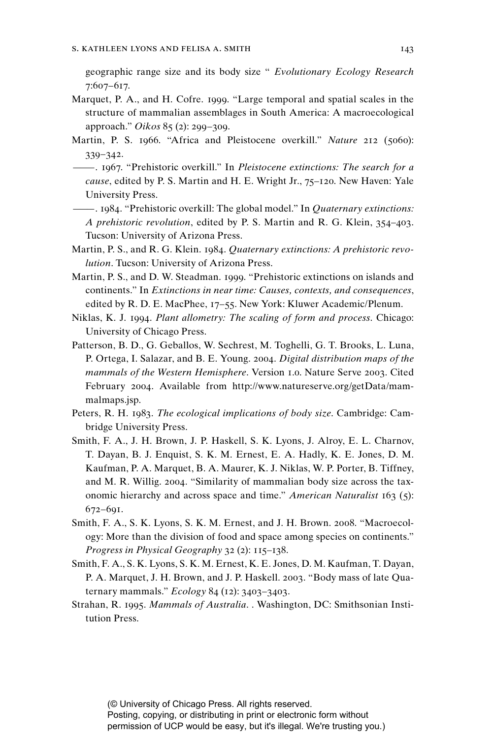geographic range size and its body size " *Evolutionary Ecology Research* 7:607–617.

- Marquet, P. A., and H. Cofre. 1999. "Large temporal and spatial scales in the structure of mammalian assemblages in South America: A macroecological approach." *Oikos* 85 (2): 299–309.
- Martin, P. S. 1966. "Africa and Pleistocene overkill." *Nature* 212 (5060): 339–342.
- ———. 1967. "Prehistoric overkill." In *Pleistocene extinctions: The search for a cause*, edited by P. S. Martin and H. E. Wright Jr., 75–120. New Haven: Yale University Press.
- ———. 1984. "Prehistoric overkill: The global model." In *Quaternary extinctions: A prehistoric revolution*, edited by P. S. Martin and R. G. Klein, 354–403. Tucson: University of Arizona Press.
- Martin, P. S., and R. G. Klein. 1984. *Quaternary extinctions: A prehistoric revolution*. Tucson: University of Arizona Press.
- Martin, P. S., and D. W. Steadman. 1999. "Prehistoric extinctions on islands and continents." In *Extinctions in near time: Causes, contexts, and consequences*, edited by R. D. E. MacPhee, 17–55. New York: Kluwer Academic/Plenum.
- Niklas, K. J. 1994. *Plant allometry: The scaling of form and process*. Chicago: University of Chicago Press.
- Patterson, B. D., G. Geballos, W. Sechrest, M. Toghelli, G. T. Brooks, L. Luna, P. Ortega, I. Salazar, and B. E. Young. 2004. *Digital distribution maps of the mammals of the Western Hemisphere*. Version 1.0. Nature Serve 2003. Cited February 2004. Available from http://www.natureserve.org/getData/mammalmaps.jsp.
- Peters, R. H. 1983. *The ecological implications of body size*. Cambridge: Cambridge University Press.
- Smith, F. A., J. H. Brown, J. P. Haskell, S. K. Lyons, J. Alroy, E. L. Charnov, T. Dayan, B. J. Enquist, S. K. M. Ernest, E. A. Hadly, K. E. Jones, D. M. Kaufman, P. A. Marquet, B. A. Maurer, K. J. Niklas, W. P. Porter, B. Tiffney, and M. R. Willig. 2004. "Similarity of mammalian body size across the taxonomic hierarchy and across space and time." *American Naturalist* 163 (5): 672–691.
- Smith, F. A., S. K. Lyons, S. K. M. Ernest, and J. H. Brown. 2008. "Macroecology: More than the division of food and space among species on continents." *Progress in Physical Geography* 32 (2): 115–138.
- Smith, F. A., S. K. Lyons, S. K. M. Ernest, K. E. Jones, D. M. Kaufman, T. Dayan, P. A. Marquet, J. H. Brown, and J. P. Haskell. 2003. "Body mass of late Quaternary mammals." *Ecology* 84 (12): 3403–3403.
- Strahan, R. 1995. *Mammals of Australia*. . Washington, DC: Smithsonian Institution Press.